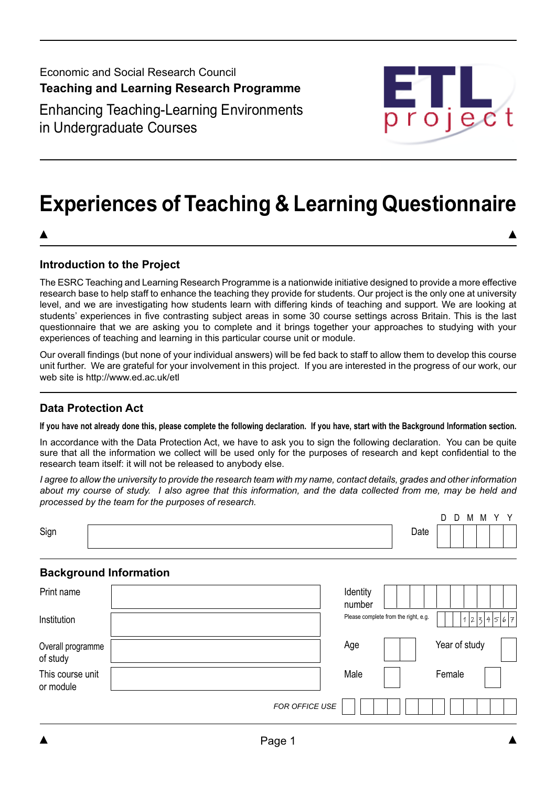Economic and Social Research Council **Teaching and Learning Research Programme** Enhancing Teaching-Learning Environments



# **Experiences of Teaching & Learning Questionnaire**

## **Introduction to the Project**

in Undergraduate Courses

The ESRC Teaching and Learning Research Programme is a nationwide initiative designed to provide a more effective research base to help staff to enhance the teaching they provide for students. Our project is the only one at university level, and we are investigating how students learn with differing kinds of teaching and support. We are looking at students' experiences in five contrasting subject areas in some 30 course settings across Britain. This is the last questionnaire that we are asking you to complete and it brings together your approaches to studying with your experiences of teaching and learning in this particular course unit or module.

Our overall findings (but none of your individual answers) will be fed back to staff to allow them to develop this course unit further. We are grateful for your involvement in this project. If you are interested in the progress of our work, our web site is http://www.ed.ac.uk/etl

# **Data Protection Act**

#### **If you have not already done this, please complete the following declaration. If you have, start with the Background Information section.**

In accordance with the Data Protection Act, we have to ask you to sign the following declaration. You can be quite sure that all the information we collect will be used only for the purposes of research and kept confidential to the research team itself: it will not be released to anybody else.

*I agree to allow the university to provide the research team with my name, contact details, grades and other information about my course of study. I also agree that this information, and the data collected from me, may be held and processed by the team for the purposes of research.*

|      |      | י | ◡ | M | M |  |
|------|------|---|---|---|---|--|
| Sign | Date |   |   |   |   |  |

### **Background Information**

| Print name                    |                | Identity<br>number                   |               |
|-------------------------------|----------------|--------------------------------------|---------------|
| Institution                   |                | Please complete from the right, e.g. | 1234567       |
| Overall programme<br>of study |                | Age                                  | Year of study |
| This course unit<br>or module |                | Male                                 | Female        |
|                               | FOR OFFICE USE |                                      |               |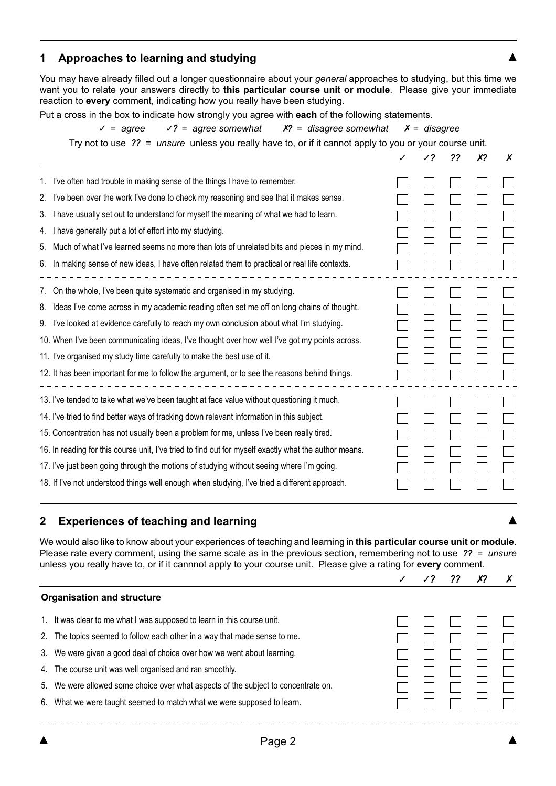## **1 Approaches to learning and studying**

You may have already filled out a longer questionnaire about your *general* approaches to studying, but this time we want you to relate your answers directly to **this particular course unit or module**. Please give your immediate reaction to **every** comment, indicating how you really have been studying.

Put a cross in the box to indicate how strongly you agree with **each** of the following statements.

✓ *= agree* ✓*? = agree somewhat* ✗*? = disagree somewhat* ✗ *= disagree*

Try not to use *?? = unsure* unless you really have to, or if it cannot apply to you or your course unit.

|    |                                                                                                       | √? | ?? | X? | X |
|----|-------------------------------------------------------------------------------------------------------|----|----|----|---|
|    | 1. I've often had trouble in making sense of the things I have to remember.                           |    |    |    |   |
| 2. | I've been over the work I've done to check my reasoning and see that it makes sense.                  |    |    |    |   |
| 3. | I have usually set out to understand for myself the meaning of what we had to learn.                  |    |    |    |   |
| 4. | I have generally put a lot of effort into my studying.                                                |    |    |    |   |
| 5. | Much of what I've learned seems no more than lots of unrelated bits and pieces in my mind.            |    |    |    |   |
| 6. | In making sense of new ideas, I have often related them to practical or real life contexts.           |    |    |    |   |
| 7. | On the whole, I've been quite systematic and organised in my studying.                                |    |    |    |   |
| 8. | Ideas I've come across in my academic reading often set me off on long chains of thought.             |    |    |    |   |
| 9. | I've looked at evidence carefully to reach my own conclusion about what I'm studying.                 |    |    |    |   |
|    | 10. When I've been communicating ideas, I've thought over how well I've got my points across.         |    |    |    |   |
|    | 11. I've organised my study time carefully to make the best use of it.                                |    |    |    |   |
|    | 12. It has been important for me to follow the argument, or to see the reasons behind things.         |    |    |    |   |
|    | 13. I've tended to take what we've been taught at face value without questioning it much.             |    |    |    |   |
|    | 14. I've tried to find better ways of tracking down relevant information in this subject.             |    |    |    |   |
|    | 15. Concentration has not usually been a problem for me, unless I've been really tired.               |    |    |    |   |
|    | 16. In reading for this course unit, I've tried to find out for myself exactly what the author means. |    |    |    |   |
|    | 17. I've just been going through the motions of studying without seeing where I'm going.              |    |    |    |   |
|    | 18. If I've not understood things well enough when studying, I've tried a different approach.         |    |    |    |   |

### **2 Experiences of teaching and learning**

We would also like to know about your experiences of teaching and learning in **this particular course unit or module**. Please rate every comment, using the same scale as in the previous section, remembering not to use *?? = unsure* unless you really have to, or if it cannnot apply to your course unit. Please give a rating for **every** comment.

|    | <b>Organisation and structure</b>                                               |  |  |  |
|----|---------------------------------------------------------------------------------|--|--|--|
| 1. | It was clear to me what I was supposed to learn in this course unit.            |  |  |  |
| 2. | The topics seemed to follow each other in a way that made sense to me.          |  |  |  |
| 3. | We were given a good deal of choice over how we went about learning.            |  |  |  |
|    | 4. The course unit was well organised and ran smoothly.                         |  |  |  |
| 5. | We were allowed some choice over what aspects of the subject to concentrate on. |  |  |  |
| 6. | What we were taught seemed to match what we were supposed to learn.             |  |  |  |
|    |                                                                                 |  |  |  |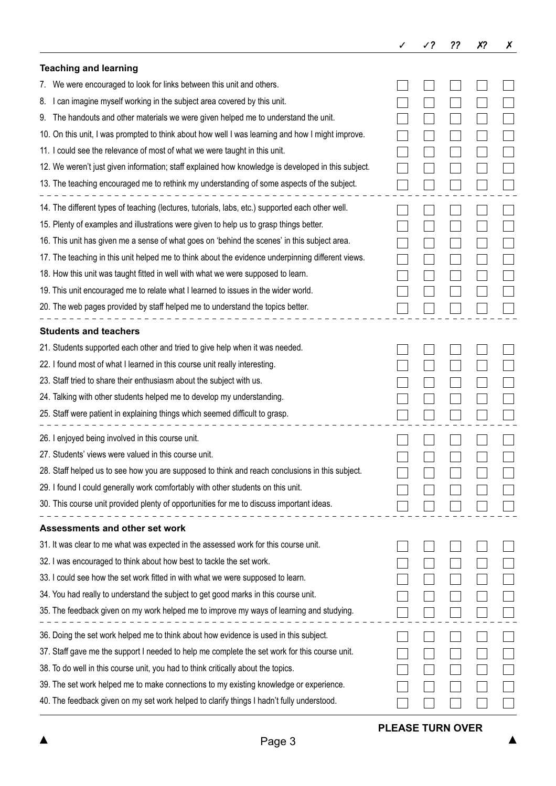|                                                                                                                |  | ?? | X? | Х |
|----------------------------------------------------------------------------------------------------------------|--|----|----|---|
| <b>Teaching and learning</b>                                                                                   |  |    |    |   |
| We were encouraged to look for links between this unit and others.<br>7.                                       |  |    |    |   |
| can imagine myself working in the subject area covered by this unit.<br>8.                                     |  |    |    |   |
| The handouts and other materials we were given helped me to understand the unit.<br>9.                         |  |    |    |   |
| 10. On this unit, I was prompted to think about how well I was learning and how I might improve.               |  |    |    |   |
| 11. I could see the relevance of most of what we were taught in this unit.                                     |  |    |    |   |
| 12. We weren't just given information; staff explained how knowledge is developed in this subject.             |  |    |    |   |
| 13. The teaching encouraged me to rethink my understanding of some aspects of the subject.                     |  |    |    |   |
| 14. The different types of teaching (lectures, tutorials, labs, etc.) supported each other well.               |  |    |    |   |
| 15. Plenty of examples and illustrations were given to help us to grasp things better.                         |  |    |    |   |
| 16. This unit has given me a sense of what goes on 'behind the scenes' in this subject area.                   |  |    |    |   |
| 17. The teaching in this unit helped me to think about the evidence underpinning different views.              |  |    |    |   |
| 18. How this unit was taught fitted in well with what we were supposed to learn.                               |  |    |    |   |
| 19. This unit encouraged me to relate what I learned to issues in the wider world.                             |  |    |    |   |
| 20. The web pages provided by staff helped me to understand the topics better.                                 |  |    |    |   |
| <b>Students and teachers</b>                                                                                   |  |    |    |   |
| 21. Students supported each other and tried to give help when it was needed.                                   |  |    |    |   |
| 22. I found most of what I learned in this course unit really interesting.                                     |  |    |    |   |
| 23. Staff tried to share their enthusiasm about the subject with us.                                           |  |    |    |   |
| 24. Talking with other students helped me to develop my understanding.                                         |  |    |    |   |
| 25. Staff were patient in explaining things which seemed difficult to grasp.                                   |  |    |    |   |
| 26. I enjoyed being involved in this course unit.                                                              |  |    |    |   |
| 27. Students' views were valued in this course unit.                                                           |  |    |    |   |
| 28. Staff helped us to see how you are supposed to think and reach conclusions in this subject.                |  |    |    |   |
| 29. I found I could generally work comfortably with other students on this unit.                               |  |    |    |   |
| 30. This course unit provided plenty of opportunities for me to discuss important ideas.<br>------------------ |  |    |    |   |
| Assessments and other set work                                                                                 |  |    |    |   |
| 31. It was clear to me what was expected in the assessed work for this course unit.                            |  |    |    |   |
| 32. I was encouraged to think about how best to tackle the set work.                                           |  |    |    |   |
| 33. I could see how the set work fitted in with what we were supposed to learn.                                |  |    |    |   |
| 34. You had really to understand the subject to get good marks in this course unit.                            |  |    |    |   |
| 35. The feedback given on my work helped me to improve my ways of learning and studying.                       |  |    |    |   |
| 36. Doing the set work helped me to think about how evidence is used in this subject.                          |  |    |    |   |
| 37. Staff gave me the support I needed to help me complete the set work for this course unit.                  |  |    |    |   |
| 38. To do well in this course unit, you had to think critically about the topics.                              |  |    |    |   |
| 39. The set work helped me to make connections to my existing knowledge or experience.                         |  |    |    |   |
| 40. The feedback given on my set work helped to clarify things I hadn't fully understood.                      |  |    |    |   |

 $\blacktriangle$